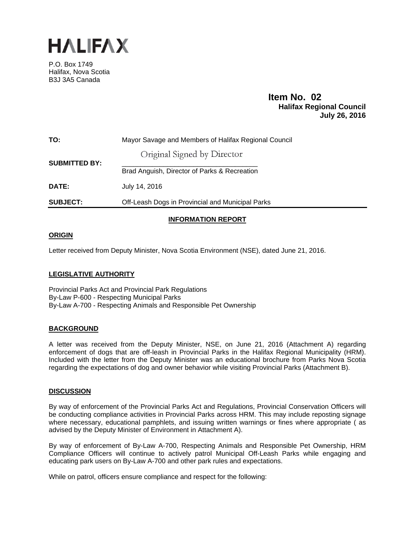

P.O. Box 1749 Halifax, Nova Scotia B3J 3A5 Canada

#### **Item No. 02**<br>**Halifax Regional Council July 26, 2016**

| TO:                  | Mayor Savage and Members of Halifax Regional Council |  |  |  |  |  |  |
|----------------------|------------------------------------------------------|--|--|--|--|--|--|
| <b>SUBMITTED BY:</b> | Original Signed by Director                          |  |  |  |  |  |  |
|                      | Brad Anguish, Director of Parks & Recreation         |  |  |  |  |  |  |
| DATE:                | July 14, 2016                                        |  |  |  |  |  |  |
| <b>SUBJECT:</b>      | Off-Leash Dogs in Provincial and Municipal Parks     |  |  |  |  |  |  |

#### **INFORMATION REPORT**

#### **ORIGIN**

Letter received from Deputy Minister, Nova Scotia Environment (NSE), dated June 21, 2016.

#### **LEGISLATIVE AUTHORITY**

Provincial Parks Act and Provincial Park Regulations By-Law P-600 - Respecting Municipal Parks By-Law A-700 - Respecting Animals and Responsible Pet Ownership

#### **BACKGROUND**

A letter was received from the Deputy Minister, NSE, on June 21, 2016 (Attachment A) regarding enforcement of dogs that are off-leash in Provincial Parks in the Halifax Regional Municipality (HRM). Included with the letter from the Deputy Minister was an educational brochure from Parks Nova Scotia regarding the expectations of dog and owner behavior while visiting Provincial Parks (Attachment B).

#### **DISCUSSION**

By way of enforcement of the Provincial Parks Act and Regulations, Provincial Conservation Officers will be conducting compliance activities in Provincial Parks across HRM . This may include reposting signage where necessary, educational pamphlets, and issuing written warnings or fines where appropriate ( as advised by the Deputy Minister of Environment in Attachment A).

By way of enforcement of By-Law A-700, Respecting Animals and Responsible Pet Ownership, HRM Compliance Officers will continue to actively patrol Municipal Off-Leash Parks while engaging and educating park users on By-Law A-700 and other park rules and expectations.

While on patrol, officers ensure compliance and respect for the following: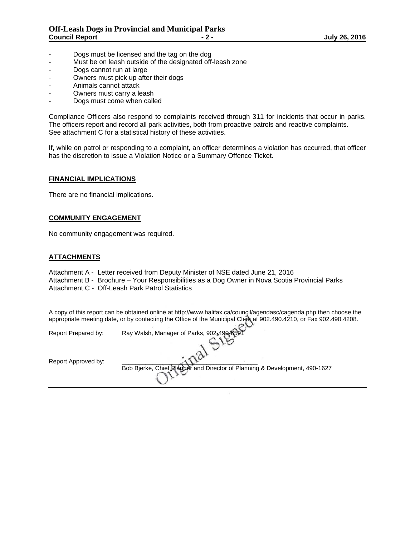- Dogs must be licensed and the tag on the dog
- Must be on leash outside of the designated off-leash zone
- Dogs cannot run at large
- Owners must pick up after their dogs
- Animals cannot attack
- Owners must carry a leash
- Dogs must come when called

Compliance Officers also respond to complaints received through 311 for incidents that occur in parks. The officers report and record all park activities, both from proactive patrols and reactive complaints. See attachment C for a statistical history of these activities.

If, while on patrol or responding to a complaint, an officer determines a violation has occurred, that officer has the discretion to issue a Violation Notice or a Summary Offence Ticket.

#### **FINANCIAL IMPLICATIONS**

There are no financial implications.

#### **COMMUNITY ENGAGEMENT**

No community engagement was required.

#### **ATTACHMENTS**

Attachment A - Letter received from Deputy Minister of NSE dated June 21, 2016 Attachment B - Brochure – Your Responsibilities as a Dog Owner in Nova Scotia Provincial Parks Attachment C - Off-Leash Park Patrol Statistics

A copy of this report can be obtained online at http://www.halifax.ca/council/agendasc/cagenda.php then choose the appropriate meeting date, or by contacting the Office of the Municipal Clerk at 902.490.4210, or Fax 902.490.4208.

| Report Prepared by: | Ray Walsh, Manager of Parks, 902-490-6591                                  |
|---------------------|----------------------------------------------------------------------------|
| Report Approved by: |                                                                            |
|                     | Bob Bjerke, Chief Planner and Director of Planning & Development, 490-1627 |
|                     |                                                                            |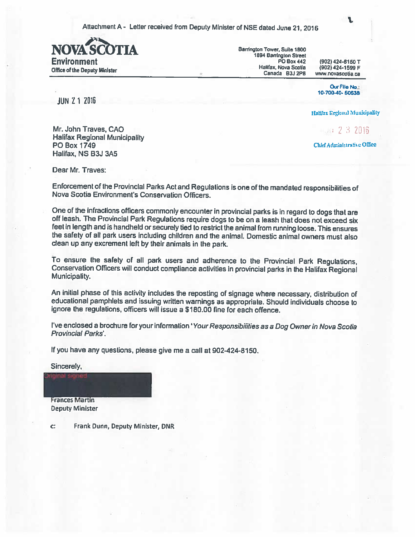Attachment A - Letter received from Deputy Minister of NSE dated June 21, 2016



Barrington Tower, Suite 1800 1894 Barrington Street **PO Box 442** Halifax, Nova Scotia Canada B3J 2P8

(902) 424-8150 T (902) 424-1599 F www.novascotia.ca

L

Our File No.: 10-700-40-50538

**JUN 21 2016** 

Halifax Regional Municipality

4.54 2 3 2016

Chlef Administrative Office

Mr. John Traves, CAO **Halifax Regional Municipality PO Box 1749** Halifax, NS B3J 3A5

Dear Mr. Traves:

Enforcement of the Provincial Parks Act and Regulations is one of the mandated responsibilities of Nova Scotia Environment's Conservation Officers.

One of the infractions officers commonly encounter in provincial parks is in regard to dogs that are off leash. The Provincial Park Regulations require dogs to be on a leash that does not exceed six feet in length and is handheld or securely tied to restrict the animal from running loose. This ensures the safety of all park users including children and the animal. Domestic animal owners must also clean up any excrement left by their animals in the park.

To ensure the safety of all park users and adherence to the Provincial Park Regulations, Conservation Officers will conduct compliance activities in provincial parks in the Halifax Regional Municipality.

An initial phase of this activity includes the reposting of signage where necessary, distribution of educational pamphlets and issuing written warnings as appropriate. Should individuals choose to ignore the regulations, officers will issue a \$180.00 fine for each offence.

l've enclosed a brochure for your information 'Your Responsibilities as a Dog Owner in Nova Scotia Provincial Parks'.

If you have any questions, please give me a call at 902-424-8150.

Sincerely,

**Frances Martin Deputy Minister** 

Frank Dunn, Deputy Minister, DNR C: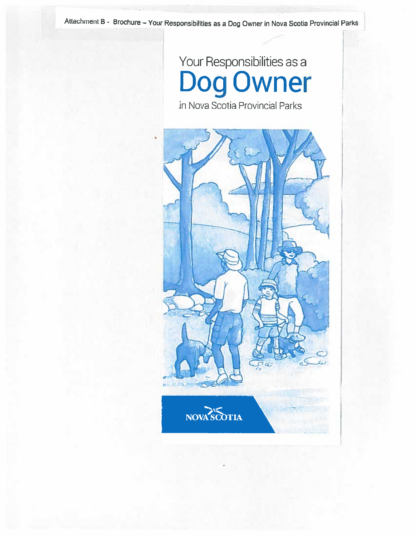Attachment B - Brochure - Your Responsibilities as a Dog Owner in Nova Scotia Provincial Parks

## Your Responsibilities as a<br>Dog Owner

in Nova Scotia Provincial Parks

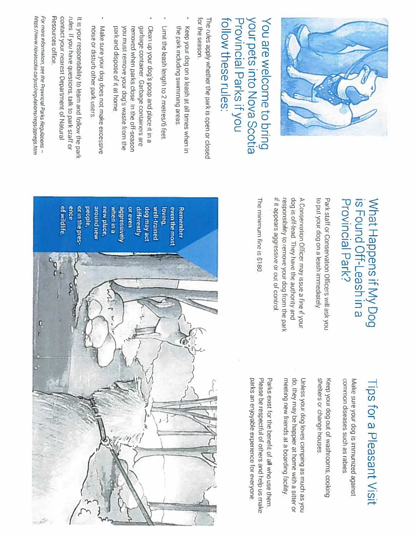

### **Nort pets into Nova Scotia** You are welcome to bring Provincial Parks if you follow these rules:

for the season The rules apply whether the park is open or closed

- the park including swimming areas Keep your dog on a leash at all times when in
- Limit the leash length to 2 metres/6 feet
- garbage container. Garbage containers are Clean up your dog's poop and place it in a park and dispose of it at home you must remove your dog's waste from the removed when parks close. In the off-season
- Make sure your dog does not make excessive noise or disturb other park users.

Resources office. contact your nearest Department of Natural rules. If you have questions, talk to park staff or It is your responsibility to learn and follow the park

https://www.novascotia.ca/just/regulations/regs/ppregs.htm For more information, see the Provincial Parks Regulations -

## What Happens if My Dog<br>is Found Off-Leash in a Provincial Park?

to put your dog on a leash immediately Park staff or Conservation Officers will ask you

it it appears aggressive or out of control responsibility to remove your dog from the park dog is off-lead. They have the authority and A Conservation Officer may issue a fine if your

The minimum fine is \$180

# Tips for a Pleasant Visit

common diseases such as rabies Make sure your dog is immunized against

shelters or change houses. Keep your dog out of washrooms, cooking

do, they may be happier at home with a sitter or Unless your dog loves camping as much as you meeting new friends at a boarding facility.

parks an enjoyable experience for everyone Please be respectful of others and help us make Parks exist for the benefit of all who use them.

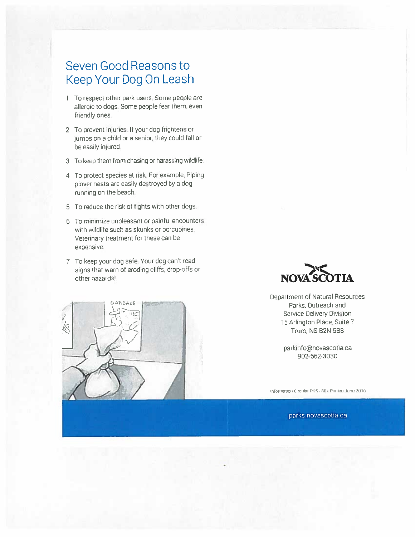#### Seven Good Reasons to Keep Your Dog On Leash

- 1 To respect other park users. Some people are allergic to dogs. Some people fear them, even friendly ones.
- 2 To prevent injuries. If your dog frightens or jumps on a child or a senior, they could fall or be easily injured.
- 3 To keep them from chasing or harassing wildlife.
- 4 To protect species at risk. For example, Piping plover nests are easily destroyed by a dog running on the beach.
- 5 To reduce the risk of fights with other dogs.
- 6 To minimize unpleasant or painful encounters with wildlife such as skunks or porcupines. Veterinary treatment for these can be expensive.
- 7 To keep your dog safe. Your dog can't read signs that warn of eroding cliffs, drop-offs or other hazards!

оаћБдор



Department of Natural Resources Parks, Outreach and Service Delivery Division 15 Arlington Place, Suite 7 Truro, NS B2N 5B8

> parkinfo@novascotia.ca 902-662-3030

Information Circular PKS - 80 · Printed June 2016

parks.novascotia.ca